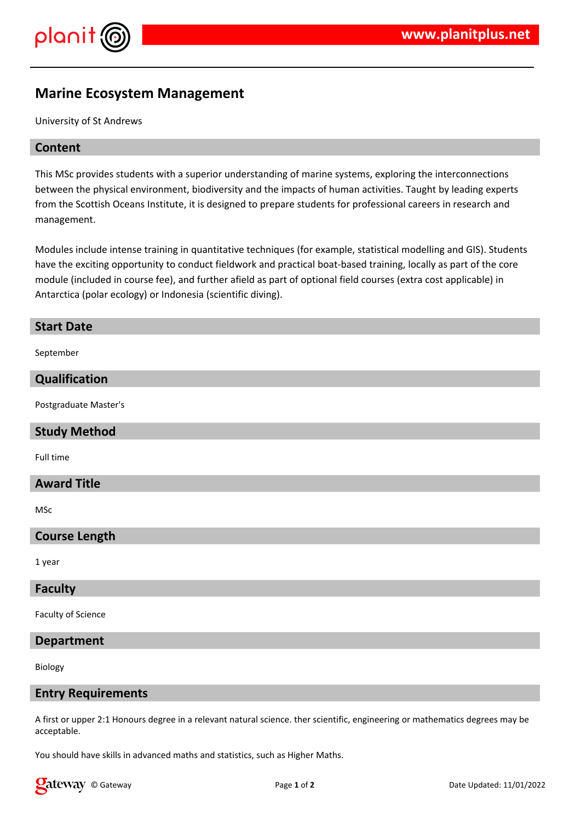

# **Marine Ecosystem Management**

University of St Andrews

## **Content**

This MSc provides students with a superior understanding of marine systems, exploring the interconnections between the physical environment, biodiversity and the impacts of human activities. Taught by leading experts from the Scottish Oceans Institute, it is designed to prepare students for professional careers in research and management.

Modules include intense training in quantitative techniques (for example, statistical modelling and GIS). Students have the exciting opportunity to conduct fieldwork and practical boat-based training, locally as part of the core module (included in course fee), and further afield as part of optional field courses (extra cost applicable) in Antarctica (polar ecology) or Indonesia (scientific diving).

#### **Start Date**

September

## **Qualification**

Postgraduate Master's

#### **Study Method**

Full time

## **Award Title**

MSc

## **Course Length**

1 year

#### **Faculty**

Faculty of Science

#### **Department**

Biology

## **Entry Requirements**

A first or upper 2:1 Honours degree in a relevant natural science. ther scientific, engineering or mathematics degrees may be acceptable.

You should have skills in advanced maths and statistics, such as Higher Maths.